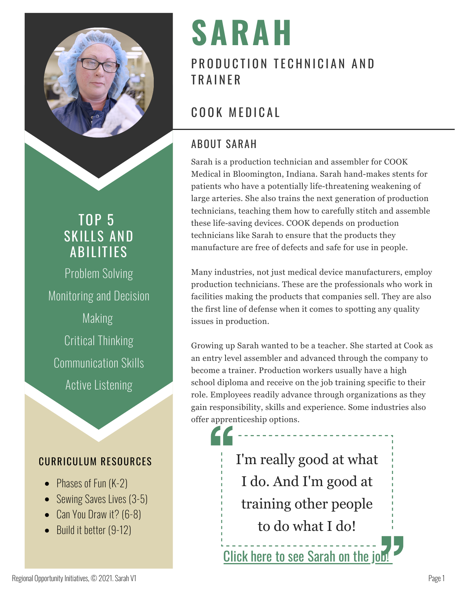

# TOP 5 SKILLS AND ABILITIES

Problem Solving Monitoring and Decision Making Critical Thinking Communication Skills Active Listening

## CURRICULUM RESOURCES

- Phases of Fun (K-2)
- Sewing Saves Lives (3-5)
- Can You Draw it? (6-8)
- Build it better (9-12)

# **SARAH**

# PRODUCTION TECHNICIAN AND **TRAINFR**

# COOK MEDICAL

## ABOUT SARAH

Sarah is a production technician and assembler for COOK Medical in Bloomington, Indiana. Sarah hand-makes stents for patients who have a potentially life-threatening weakening of large arteries. She also trains the next generation of production technicians, teaching them how to carefully stitch and assemble these life-saving devices. COOK depends on production technicians like Sarah to ensure that the products they manufacture are free of defects and safe for use in people.

Many industries, not just medical device manufacturers, employ production technicians. These are the professionals who work in facilities making the products that companies sell. They are also the first line of defense when it comes to spotting any quality issues in production.

Growing up Sarah wanted to be a teacher. She started at Cook as an entry level assembler and advanced through the company to become a trainer. Production workers usually have a high school diploma and receive on the job training specific to their role. Employees readily advance through organizations as they gain responsibility, skills and experience. Some industries also offer apprenticeship options.

> I'm really good at what I do. And I'm good at training other people to do what I do!

Click here to see [Sarah](http://www.regionalopportunityinc.org/sarah/) on the job